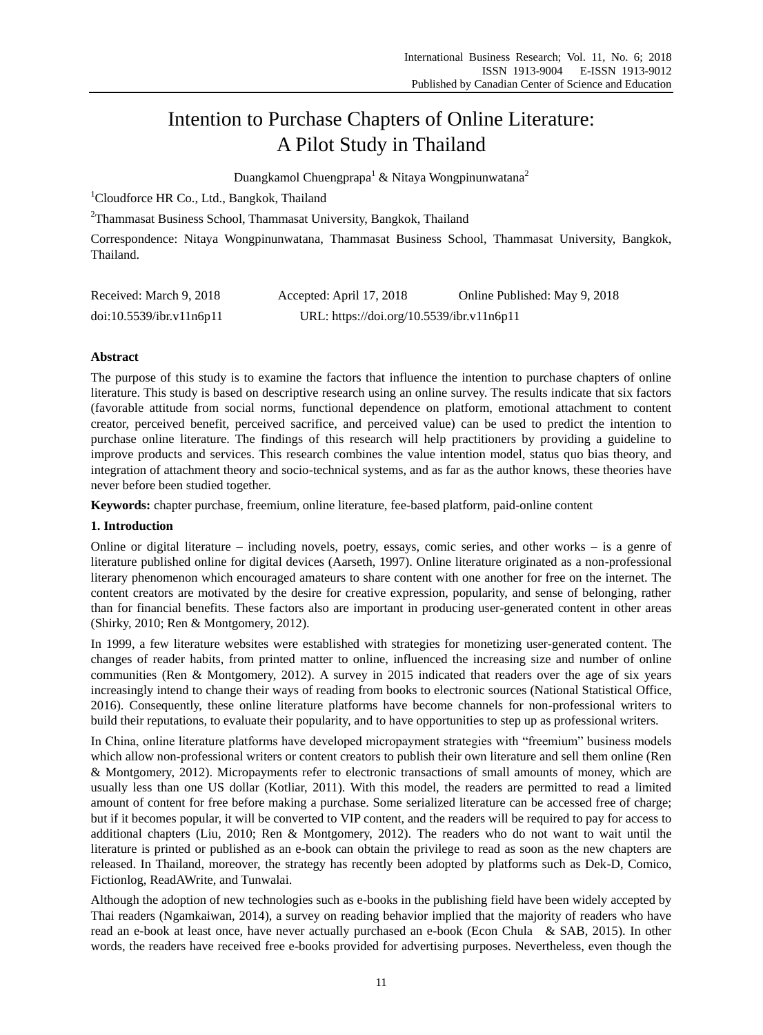# Intention to Purchase Chapters of Online Literature: A Pilot Study in Thailand

Duangkamol Chuengprapa<sup>1</sup> & Nitaya Wongpinunwatana<sup>2</sup>

<sup>1</sup>Cloudforce HR Co., Ltd., Bangkok, Thailand

<sup>2</sup>Thammasat Business School, Thammasat University, Bangkok, Thailand

Correspondence: Nitaya Wongpinunwatana, Thammasat Business School, Thammasat University, Bangkok, Thailand.

| Received: March 9, 2018  | Accepted: April 17, 2018                  | Online Published: May 9, 2018 |
|--------------------------|-------------------------------------------|-------------------------------|
| doi:10.5539/ibr.v11n6p11 | URL: https://doi.org/10.5539/ibr.v11n6p11 |                               |

# **Abstract**

The purpose of this study is to examine the factors that influence the intention to purchase chapters of online literature. This study is based on descriptive research using an online survey. The results indicate that six factors (favorable attitude from social norms, functional dependence on platform, emotional attachment to content creator, perceived benefit, perceived sacrifice, and perceived value) can be used to predict the intention to purchase online literature. The findings of this research will help practitioners by providing a guideline to improve products and services. This research combines the value intention model, status quo bias theory, and integration of attachment theory and socio-technical systems, and as far as the author knows, these theories have never before been studied together.

**Keywords:** chapter purchase, freemium, online literature, fee-based platform, paid-online content

# **1. Introduction**

Online or digital literature – including novels, poetry, essays, comic series, and other works – is a genre of literature published online for digital devices (Aarseth, 1997). Online literature originated as a non-professional literary phenomenon which encouraged amateurs to share content with one another for free on the internet. The content creators are motivated by the desire for creative expression, popularity, and sense of belonging, rather than for financial benefits. These factors also are important in producing user-generated content in other areas (Shirky, 2010; Ren & Montgomery, 2012).

In 1999, a few literature websites were established with strategies for monetizing user-generated content. The changes of reader habits, from printed matter to online, influenced the increasing size and number of online communities (Ren & Montgomery, 2012). A survey in 2015 indicated that readers over the age of six years increasingly intend to change their ways of reading from books to electronic sources (National Statistical Office, 2016). Consequently, these online literature platforms have become channels for non-professional writers to build their reputations, to evaluate their popularity, and to have opportunities to step up as professional writers.

In China, online literature platforms have developed micropayment strategies with "freemium" business models which allow non-professional writers or content creators to publish their own literature and sell them online (Ren & Montgomery, 2012). Micropayments refer to electronic transactions of small amounts of money, which are usually less than one US dollar (Kotliar, 2011). With this model, the readers are permitted to read a limited amount of content for free before making a purchase. Some serialized literature can be accessed free of charge; but if it becomes popular, it will be converted to VIP content, and the readers will be required to pay for access to additional chapters (Liu, 2010; Ren & Montgomery, 2012). The readers who do not want to wait until the literature is printed or published as an e-book can obtain the privilege to read as soon as the new chapters are released. In Thailand, moreover, the strategy has recently been adopted by platforms such as Dek-D, Comico, Fictionlog, ReadAWrite, and Tunwalai.

Although the adoption of new technologies such as e-books in the publishing field have been widely accepted by Thai readers (Ngamkaiwan, 2014), a survey on reading behavior implied that the majority of readers who have read an e-book at least once, have never actually purchased an e-book (Econ Chula & SAB, 2015). In other words, the readers have received free e-books provided for advertising purposes. Nevertheless, even though the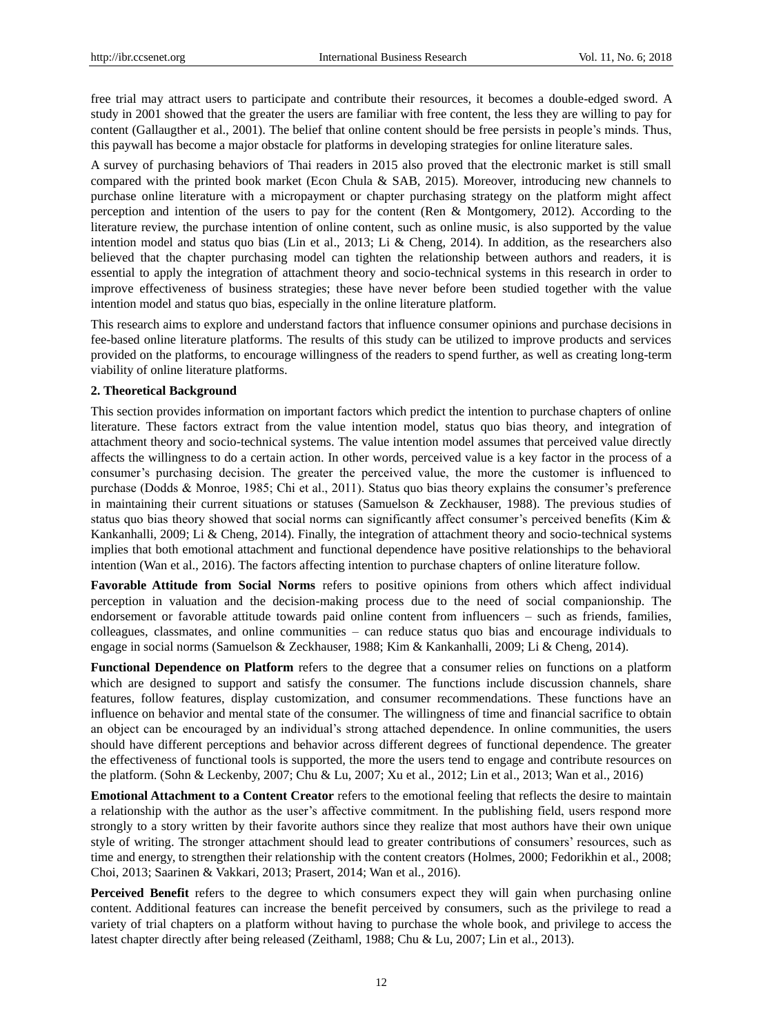free trial may attract users to participate and contribute their resources, it becomes a double-edged sword. A study in 2001 showed that the greater the users are familiar with free content, the less they are willing to pay for content (Gallaugther et al., 2001). The belief that online content should be free persists in people's minds. Thus, this paywall has become a major obstacle for platforms in developing strategies for online literature sales.

A survey of purchasing behaviors of Thai readers in 2015 also proved that the electronic market is still small compared with the printed book market (Econ Chula & SAB, 2015). Moreover, introducing new channels to purchase online literature with a micropayment or chapter purchasing strategy on the platform might affect perception and intention of the users to pay for the content (Ren & Montgomery, 2012). According to the literature review, the purchase intention of online content, such as online music, is also supported by the value intention model and status quo bias (Lin et al., 2013; Li & Cheng, 2014). In addition, as the researchers also believed that the chapter purchasing model can tighten the relationship between authors and readers, it is essential to apply the integration of attachment theory and socio-technical systems in this research in order to improve effectiveness of business strategies; these have never before been studied together with the value intention model and status quo bias, especially in the online literature platform.

This research aims to explore and understand factors that influence consumer opinions and purchase decisions in fee-based online literature platforms. The results of this study can be utilized to improve products and services provided on the platforms, to encourage willingness of the readers to spend further, as well as creating long-term viability of online literature platforms.

# **2. Theoretical Background**

This section provides information on important factors which predict the intention to purchase chapters of online literature. These factors extract from the value intention model, status quo bias theory, and integration of attachment theory and socio-technical systems. The value intention model assumes that perceived value directly affects the willingness to do a certain action. In other words, perceived value is a key factor in the process of a consumer's purchasing decision. The greater the perceived value, the more the customer is influenced to purchase (Dodds & Monroe, 1985; Chi et al., 2011). Status quo bias theory explains the consumer's preference in maintaining their current situations or statuses (Samuelson & Zeckhauser, 1988). The previous studies of status quo bias theory showed that social norms can significantly affect consumer's perceived benefits (Kim & Kankanhalli, 2009; Li & Cheng, 2014). Finally, the integration of attachment theory and socio-technical systems implies that both emotional attachment and functional dependence have positive relationships to the behavioral intention (Wan et al., 2016). The factors affecting intention to purchase chapters of online literature follow.

**Favorable Attitude from Social Norms** refers to positive opinions from others which affect individual perception in valuation and the decision-making process due to the need of social companionship. The endorsement or favorable attitude towards paid online content from influencers – such as friends, families, colleagues, classmates, and online communities – can reduce status quo bias and encourage individuals to engage in social norms (Samuelson & Zeckhauser, 1988; Kim & Kankanhalli, 2009; Li & Cheng, 2014).

**Functional Dependence on Platform** refers to the degree that a consumer relies on functions on a platform which are designed to support and satisfy the consumer. The functions include discussion channels, share features, follow features, display customization, and consumer recommendations. These functions have an influence on behavior and mental state of the consumer. The willingness of time and financial sacrifice to obtain an object can be encouraged by an individual's strong attached dependence. In online communities, the users should have different perceptions and behavior across different degrees of functional dependence. The greater the effectiveness of functional tools is supported, the more the users tend to engage and contribute resources on the platform. (Sohn & Leckenby, 2007; Chu & Lu, 2007; Xu et al., 2012; Lin et al., 2013; Wan et al., 2016)

**Emotional Attachment to a Content Creator** refers to the emotional feeling that reflects the desire to maintain a relationship with the author as the user's affective commitment. In the publishing field, users respond more strongly to a story written by their favorite authors since they realize that most authors have their own unique style of writing. The stronger attachment should lead to greater contributions of consumers' resources, such as time and energy, to strengthen their relationship with the content creators (Holmes, 2000; Fedorikhin et al., 2008; Choi, 2013; Saarinen & Vakkari, 2013; Prasert, 2014; Wan et al., 2016).

**Perceived Benefit** refers to the degree to which consumers expect they will gain when purchasing online content. Additional features can increase the benefit perceived by consumers, such as the privilege to read a variety of trial chapters on a platform without having to purchase the whole book, and privilege to access the latest chapter directly after being released (Zeithaml, 1988; Chu & Lu, 2007; Lin et al., 2013).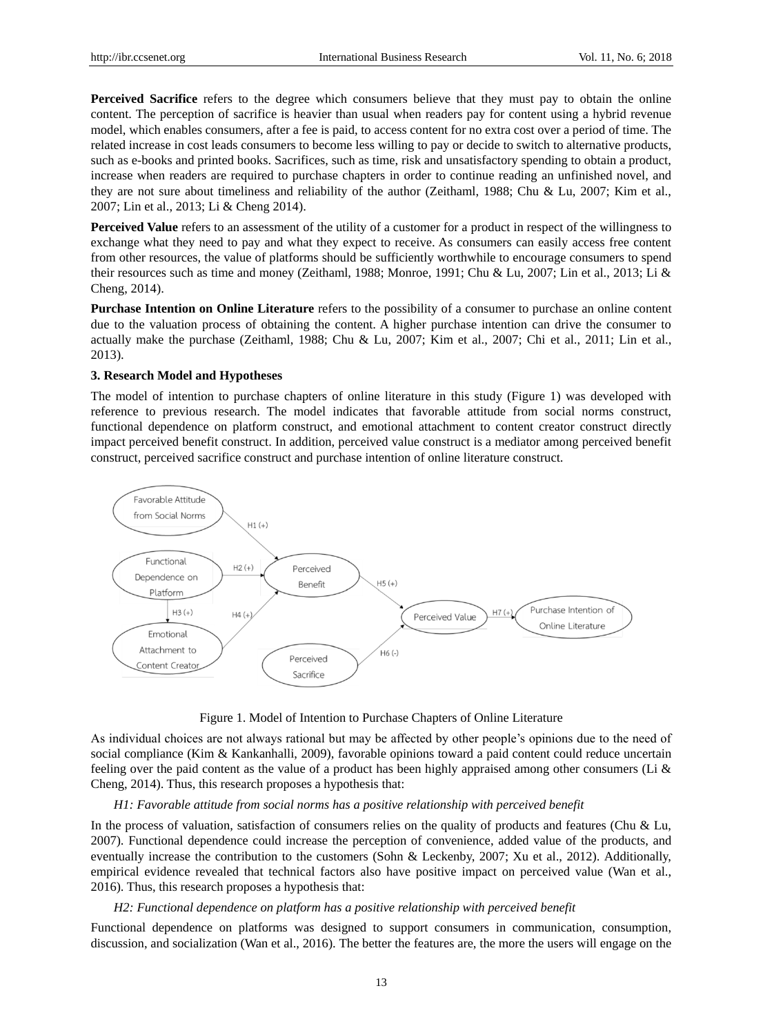**Perceived Sacrifice** refers to the degree which consumers believe that they must pay to obtain the online content. The perception of sacrifice is heavier than usual when readers pay for content using a hybrid revenue model, which enables consumers, after a fee is paid, to access content for no extra cost over a period of time. The related increase in cost leads consumers to become less willing to pay or decide to switch to alternative products, such as e-books and printed books. Sacrifices, such as time, risk and unsatisfactory spending to obtain a product, increase when readers are required to purchase chapters in order to continue reading an unfinished novel, and they are not sure about timeliness and reliability of the author (Zeithaml, 1988; Chu & Lu, 2007; Kim et al., 2007; Lin et al., 2013; Li & Cheng 2014).

**Perceived Value** refers to an assessment of the utility of a customer for a product in respect of the willingness to exchange what they need to pay and what they expect to receive. As consumers can easily access free content from other resources, the value of platforms should be sufficiently worthwhile to encourage consumers to spend their resources such as time and money (Zeithaml, 1988; Monroe, 1991; Chu & Lu, 2007; Lin et al., 2013; Li & Cheng, 2014).

**Purchase Intention on Online Literature** refers to the possibility of a consumer to purchase an online content due to the valuation process of obtaining the content. A higher purchase intention can drive the consumer to actually make the purchase (Zeithaml, 1988; Chu & Lu, 2007; Kim et al., 2007; Chi et al., 2011; Lin et al., 2013).

### **3. Research Model and Hypotheses**

The model of intention to purchase chapters of online literature in this study (Figure 1) was developed with reference to previous research. The model indicates that favorable attitude from social norms construct, functional dependence on platform construct, and emotional attachment to content creator construct directly impact perceived benefit construct. In addition, perceived value construct is a mediator among perceived benefit construct, perceived sacrifice construct and purchase intention of online literature construct.



Figure 1. Model of Intention to Purchase Chapters of Online Literature

As individual choices are not always rational but may be affected by other people's opinions due to the need of social compliance (Kim & Kankanhalli, 2009), favorable opinions toward a paid content could reduce uncertain feeling over the paid content as the value of a product has been highly appraised among other consumers (Li & Cheng, 2014). Thus, this research proposes a hypothesis that:

# *H1: Favorable attitude from social norms has a positive relationship with perceived benefit*

In the process of valuation, satisfaction of consumers relies on the quality of products and features (Chu & Lu, 2007). Functional dependence could increase the perception of convenience, added value of the products, and eventually increase the contribution to the customers (Sohn & Leckenby, 2007; Xu et al., 2012). Additionally, empirical evidence revealed that technical factors also have positive impact on perceived value (Wan et al., 2016). Thus, this research proposes a hypothesis that:

# *H2: Functional dependence on platform has a positive relationship with perceived benefit*

Functional dependence on platforms was designed to support consumers in communication, consumption, discussion, and socialization (Wan et al., 2016). The better the features are, the more the users will engage on the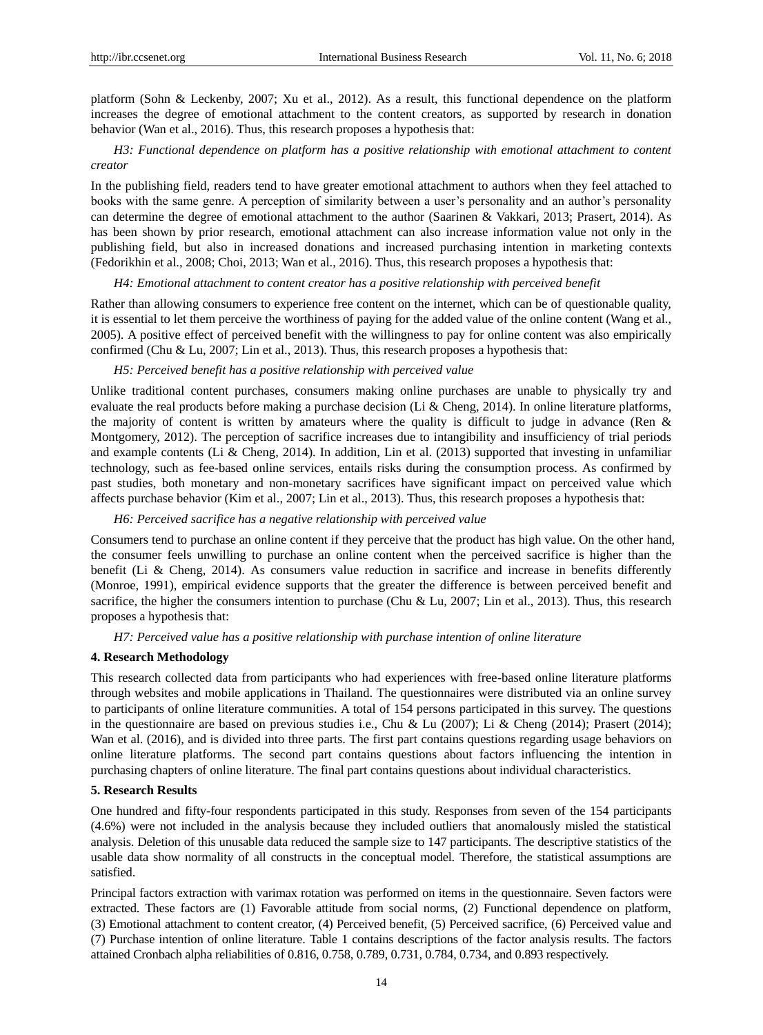platform (Sohn & Leckenby, 2007; Xu et al., 2012). As a result, this functional dependence on the platform increases the degree of emotional attachment to the content creators, as supported by research in donation behavior (Wan et al., 2016). Thus, this research proposes a hypothesis that:

# *H3: Functional dependence on platform has a positive relationship with emotional attachment to content creator*

In the publishing field, readers tend to have greater emotional attachment to authors when they feel attached to books with the same genre. A perception of similarity between a user's personality and an author's personality can determine the degree of emotional attachment to the author (Saarinen & Vakkari, 2013; Prasert, 2014). As has been shown by prior research, emotional attachment can also increase information value not only in the publishing field, but also in increased donations and increased purchasing intention in marketing contexts (Fedorikhin et al., 2008; Choi, 2013; Wan et al., 2016). Thus, this research proposes a hypothesis that:

# *H4: Emotional attachment to content creator has a positive relationship with perceived benefit*

Rather than allowing consumers to experience free content on the internet, which can be of questionable quality, it is essential to let them perceive the worthiness of paying for the added value of the online content (Wang et al., 2005). A positive effect of perceived benefit with the willingness to pay for online content was also empirically confirmed (Chu & Lu, 2007; Lin et al., 2013). Thus, this research proposes a hypothesis that:

# *H5: Perceived benefit has a positive relationship with perceived value*

Unlike traditional content purchases, consumers making online purchases are unable to physically try and evaluate the real products before making a purchase decision (Li & Cheng, 2014). In online literature platforms, the majority of content is written by amateurs where the quality is difficult to judge in advance (Ren & Montgomery, 2012). The perception of sacrifice increases due to intangibility and insufficiency of trial periods and example contents (Li & Cheng, 2014). In addition, Lin et al. (2013) supported that investing in unfamiliar technology, such as fee-based online services, entails risks during the consumption process. As confirmed by past studies, both monetary and non-monetary sacrifices have significant impact on perceived value which affects purchase behavior (Kim et al., 2007; Lin et al., 2013). Thus, this research proposes a hypothesis that:

# *H6: Perceived sacrifice has a negative relationship with perceived value*

Consumers tend to purchase an online content if they perceive that the product has high value. On the other hand, the consumer feels unwilling to purchase an online content when the perceived sacrifice is higher than the benefit (Li & Cheng, 2014). As consumers value reduction in sacrifice and increase in benefits differently (Monroe, 1991), empirical evidence supports that the greater the difference is between perceived benefit and sacrifice, the higher the consumers intention to purchase (Chu & Lu, 2007; Lin et al., 2013). Thus, this research proposes a hypothesis that:

#### *H7: Perceived value has a positive relationship with purchase intention of online literature*

#### **4. Research Methodology**

This research collected data from participants who had experiences with free-based online literature platforms through websites and mobile applications in Thailand. The questionnaires were distributed via an online survey to participants of online literature communities. A total of 154 persons participated in this survey. The questions in the questionnaire are based on previous studies i.e., Chu & Lu (2007); Li & Cheng (2014); Prasert (2014); Wan et al. (2016), and is divided into three parts. The first part contains questions regarding usage behaviors on online literature platforms. The second part contains questions about factors influencing the intention in purchasing chapters of online literature. The final part contains questions about individual characteristics.

# **5. Research Results**

One hundred and fifty-four respondents participated in this study. Responses from seven of the 154 participants (4.6%) were not included in the analysis because they included outliers that anomalously misled the statistical analysis. Deletion of this unusable data reduced the sample size to 147 participants. The descriptive statistics of the usable data show normality of all constructs in the conceptual model. Therefore, the statistical assumptions are satisfied.

Principal factors extraction with varimax rotation was performed on items in the questionnaire. Seven factors were extracted. These factors are (1) Favorable attitude from social norms, (2) Functional dependence on platform, (3) Emotional attachment to content creator, (4) Perceived benefit, (5) Perceived sacrifice, (6) Perceived value and (7) Purchase intention of online literature. Table 1 contains descriptions of the factor analysis results. The factors attained Cronbach alpha reliabilities of 0.816, 0.758, 0.789, 0.731, 0.784, 0.734, and 0.893 respectively.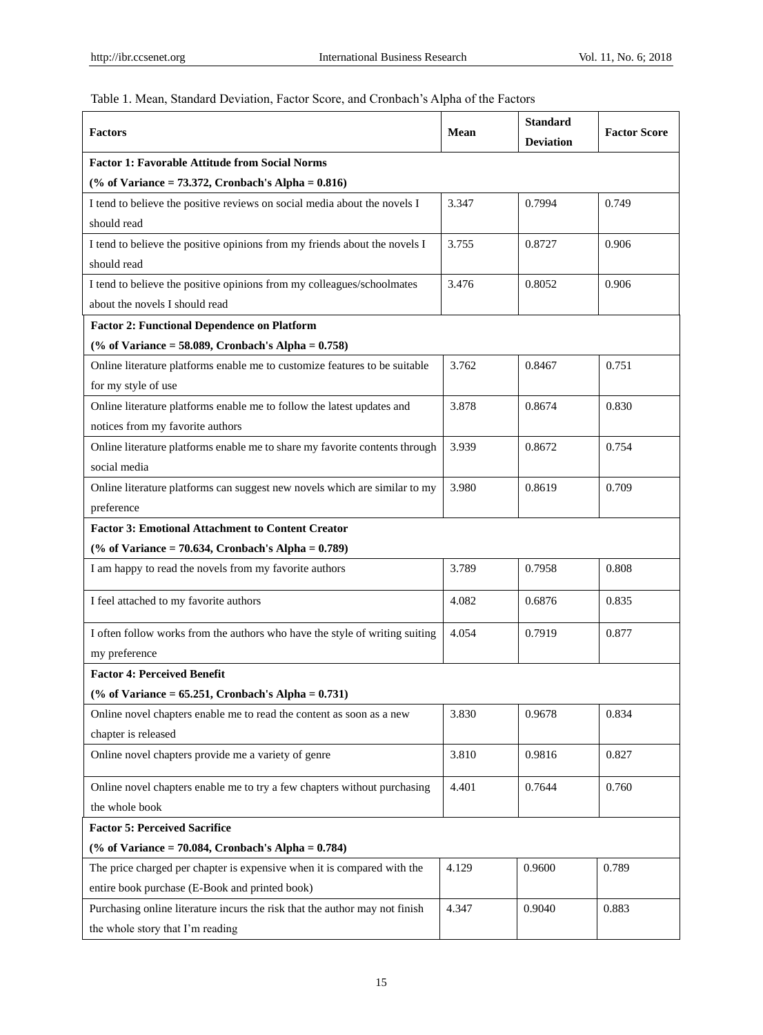# Table 1. Mean, Standard Deviation, Factor Score, and Cronbach's Alpha of the Factors

| <b>Factors</b>                                                              | Mean  | <b>Standard</b>  | <b>Factor Score</b> |  |  |  |
|-----------------------------------------------------------------------------|-------|------------------|---------------------|--|--|--|
|                                                                             |       | <b>Deviation</b> |                     |  |  |  |
| <b>Factor 1: Favorable Attitude from Social Norms</b>                       |       |                  |                     |  |  |  |
| (% of Variance = $73.372$ , Cronbach's Alpha = $0.816$ )                    |       |                  |                     |  |  |  |
| I tend to believe the positive reviews on social media about the novels I   | 3.347 | 0.7994           | 0.749               |  |  |  |
| should read                                                                 |       |                  |                     |  |  |  |
| I tend to believe the positive opinions from my friends about the novels I  | 3.755 | 0.8727           | 0.906               |  |  |  |
| should read                                                                 |       |                  |                     |  |  |  |
| I tend to believe the positive opinions from my colleagues/schoolmates      | 3.476 | 0.8052           | 0.906               |  |  |  |
| about the novels I should read                                              |       |                  |                     |  |  |  |
| <b>Factor 2: Functional Dependence on Platform</b>                          |       |                  |                     |  |  |  |
| (% of Variance = 58.089, Cronbach's Alpha = $0.758$ )                       |       |                  |                     |  |  |  |
| Online literature platforms enable me to customize features to be suitable  | 3.762 | 0.8467           | 0.751               |  |  |  |
| for my style of use                                                         |       |                  |                     |  |  |  |
| Online literature platforms enable me to follow the latest updates and      | 3.878 | 0.8674           | 0.830               |  |  |  |
| notices from my favorite authors                                            |       |                  |                     |  |  |  |
| Online literature platforms enable me to share my favorite contents through | 3.939 | 0.8672           | 0.754               |  |  |  |
| social media                                                                |       |                  |                     |  |  |  |
| Online literature platforms can suggest new novels which are similar to my  | 3.980 | 0.8619           | 0.709               |  |  |  |
| preference                                                                  |       |                  |                     |  |  |  |
| <b>Factor 3: Emotional Attachment to Content Creator</b>                    |       |                  |                     |  |  |  |
| (% of Variance = 70.634, Cronbach's Alpha = $0.789$ )                       |       |                  |                     |  |  |  |
| I am happy to read the novels from my favorite authors                      | 3.789 | 0.7958           | 0.808               |  |  |  |
| I feel attached to my favorite authors                                      | 4.082 | 0.6876           | 0.835               |  |  |  |
| I often follow works from the authors who have the style of writing suiting | 4.054 | 0.7919           | 0.877               |  |  |  |
| my preference                                                               |       |                  |                     |  |  |  |
| <b>Factor 4: Perceived Benefit</b>                                          |       |                  |                     |  |  |  |
| (% of Variance = $65.251$ , Cronbach's Alpha = 0.731)                       |       |                  |                     |  |  |  |
| Online novel chapters enable me to read the content as soon as a new        | 3.830 | 0.9678           | 0.834               |  |  |  |
| chapter is released                                                         |       |                  |                     |  |  |  |
| Online novel chapters provide me a variety of genre                         | 3.810 | 0.9816           | 0.827               |  |  |  |
| Online novel chapters enable me to try a few chapters without purchasing    | 4.401 | 0.7644           | 0.760               |  |  |  |
| the whole book                                                              |       |                  |                     |  |  |  |
| <b>Factor 5: Perceived Sacrifice</b>                                        |       |                  |                     |  |  |  |
| (% of Variance = $70.084$ , Cronbach's Alpha = $0.784$ )                    |       |                  |                     |  |  |  |
| The price charged per chapter is expensive when it is compared with the     | 4.129 | 0.9600           | 0.789               |  |  |  |
| entire book purchase (E-Book and printed book)                              |       |                  |                     |  |  |  |
| Purchasing online literature incurs the risk that the author may not finish | 4.347 | 0.9040           | 0.883               |  |  |  |
| the whole story that I'm reading                                            |       |                  |                     |  |  |  |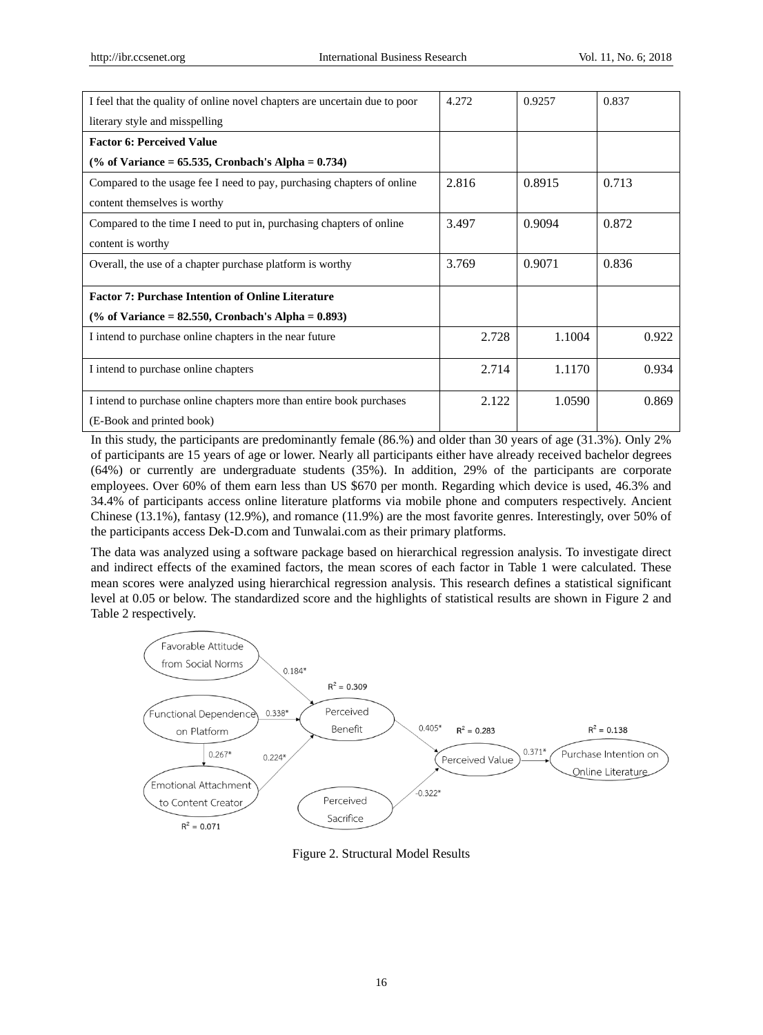| I feel that the quality of online novel chapters are uncertain due to poor | 4.272 | 0.9257          | 0.837 |
|----------------------------------------------------------------------------|-------|-----------------|-------|
| literary style and misspelling                                             |       |                 |       |
| <b>Factor 6: Perceived Value</b>                                           |       |                 |       |
| $\frac{6}{6}$ of Variance = 65.535, Cronbach's Alpha = 0.734)              |       |                 |       |
| Compared to the usage fee I need to pay, purchasing chapters of online     | 2.816 | 0.713<br>0.8915 |       |
| content themselves is worthy                                               |       |                 |       |
| Compared to the time I need to put in, purchasing chapters of online       | 3.497 | 0.9094          | 0.872 |
| content is worthy                                                          |       |                 |       |
| Overall, the use of a chapter purchase platform is worthy                  | 3.769 | 0.9071          | 0.836 |
|                                                                            |       |                 |       |
| <b>Factor 7: Purchase Intention of Online Literature</b>                   |       |                 |       |
| $\frac{6}{6}$ of Variance = 82.550, Cronbach's Alpha = 0.893)              |       |                 |       |
| I intend to purchase online chapters in the near future                    | 2.728 | 1.1004          | 0.922 |
|                                                                            |       |                 |       |
| I intend to purchase online chapters                                       | 2.714 | 1.1170          | 0.934 |
|                                                                            | 2.122 | 1.0590          | 0.869 |
| I intend to purchase online chapters more than entire book purchases       |       |                 |       |
| (E-Book and printed book)                                                  |       |                 |       |

In this study, the participants are predominantly female (86.%) and older than 30 years of age (31.3%). Only 2% of participants are 15 years of age or lower. Nearly all participants either have already received bachelor degrees (64%) or currently are undergraduate students (35%). In addition, 29% of the participants are corporate employees. Over 60% of them earn less than US \$670 per month. Regarding which device is used, 46.3% and 34.4% of participants access online literature platforms via mobile phone and computers respectively. Ancient Chinese (13.1%), fantasy (12.9%), and romance (11.9%) are the most favorite genres. Interestingly, over 50% of the participants access Dek-D.com and Tunwalai.com as their primary platforms.

The data was analyzed using a software package based on hierarchical regression analysis. To investigate direct and indirect effects of the examined factors, the mean scores of each factor in Table 1 were calculated. These mean scores were analyzed using hierarchical regression analysis. This research defines a statistical significant level at 0.05 or below. The standardized score and the highlights of statistical results are shown in Figure 2 and Table 2 respectively.



Figure 2. Structural Model Results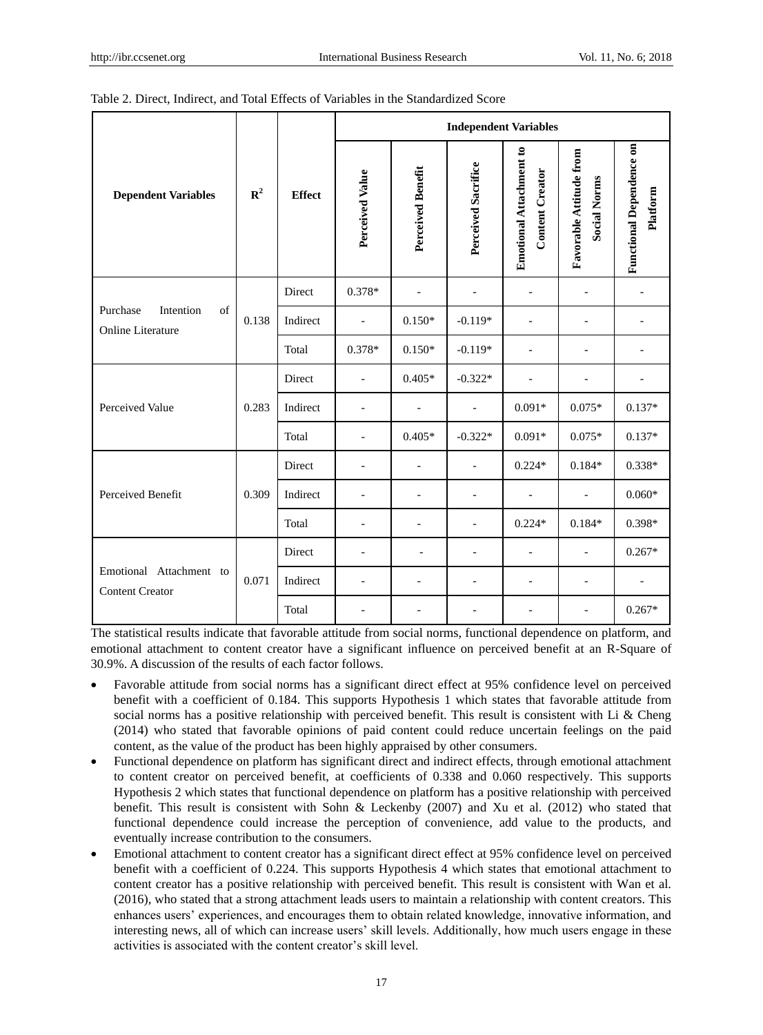|  |  |  |  | Table 2. Direct. Indirect. and Total Effects of Variables in the Standardized Score |
|--|--|--|--|-------------------------------------------------------------------------------------|
|--|--|--|--|-------------------------------------------------------------------------------------|

|                                                   |             |               | <b>Independent Variables</b> |                          |                          |                                                          |                                                |                                             |
|---------------------------------------------------|-------------|---------------|------------------------------|--------------------------|--------------------------|----------------------------------------------------------|------------------------------------------------|---------------------------------------------|
| <b>Dependent Variables</b>                        | ${\bf R}^2$ | <b>Effect</b> | Perceived Value              | Perceived Benefit        | Perceived Sacrifice      | <b>Emotional Attachment to</b><br><b>Content Creator</b> | Favorable Attitude from<br><b>Social Norms</b> | <b>Functional Dependence on</b><br>Platform |
| Purchase<br>Intention<br>of<br>Online Literature  | 0.138       | Direct        | 0.378*                       |                          |                          |                                                          |                                                |                                             |
|                                                   |             | Indirect      | $\overline{\phantom{a}}$     | $0.150*$                 | $-0.119*$                |                                                          |                                                |                                             |
|                                                   |             | Total         | $0.378*$                     | $0.150*$                 | $-0.119*$                |                                                          |                                                |                                             |
| Perceived Value                                   | 0.283       | Direct        | $\overline{\phantom{a}}$     | $0.405*$                 | $-0.322*$                | $\overline{a}$                                           |                                                |                                             |
|                                                   |             | Indirect      | $\overline{\phantom{0}}$     | $\overline{a}$           | $\overline{\phantom{0}}$ | $0.091*$                                                 | $0.075*$                                       | $0.137*$                                    |
|                                                   |             | Total         | $\overline{a}$               | $0.405*$                 | $-0.322*$                | $0.091*$                                                 | $0.075*$                                       | $0.137*$                                    |
| Perceived Benefit                                 | 0.309       | Direct        |                              |                          |                          | $0.224*$                                                 | $0.184*$                                       | 0.338*                                      |
|                                                   |             | Indirect      |                              |                          |                          |                                                          |                                                | $0.060*$                                    |
|                                                   |             | Total         | $\overline{a}$               | $\overline{\phantom{a}}$ |                          | $0.224*$                                                 | $0.184*$                                       | $0.398*$                                    |
| Emotional Attachment to<br><b>Content Creator</b> | 0.071       | Direct        |                              | $\overline{a}$           |                          | $\frac{1}{2}$                                            |                                                | $0.267*$                                    |
|                                                   |             | Indirect      | $\overline{a}$               | $\overline{a}$           |                          |                                                          |                                                |                                             |
|                                                   |             | Total         | $\overline{a}$               |                          |                          |                                                          |                                                | $0.267*$                                    |

The statistical results indicate that favorable attitude from social norms, functional dependence on platform, and emotional attachment to content creator have a significant influence on perceived benefit at an R-Square of 30.9%. A discussion of the results of each factor follows.

- Favorable attitude from social norms has a significant direct effect at 95% confidence level on perceived benefit with a coefficient of 0.184. This supports Hypothesis 1 which states that favorable attitude from social norms has a positive relationship with perceived benefit. This result is consistent with Li & Cheng (2014) who stated that favorable opinions of paid content could reduce uncertain feelings on the paid content, as the value of the product has been highly appraised by other consumers.
- Functional dependence on platform has significant direct and indirect effects, through emotional attachment to content creator on perceived benefit, at coefficients of 0.338 and 0.060 respectively. This supports Hypothesis 2 which states that functional dependence on platform has a positive relationship with perceived benefit. This result is consistent with Sohn & Leckenby (2007) and Xu et al. (2012) who stated that functional dependence could increase the perception of convenience, add value to the products, and eventually increase contribution to the consumers.
- Emotional attachment to content creator has a significant direct effect at 95% confidence level on perceived benefit with a coefficient of 0.224. This supports Hypothesis 4 which states that emotional attachment to content creator has a positive relationship with perceived benefit. This result is consistent with Wan et al. (2016), who stated that a strong attachment leads users to maintain a relationship with content creators. This enhances users' experiences, and encourages them to obtain related knowledge, innovative information, and interesting news, all of which can increase users' skill levels. Additionally, how much users engage in these activities is associated with the content creator's skill level.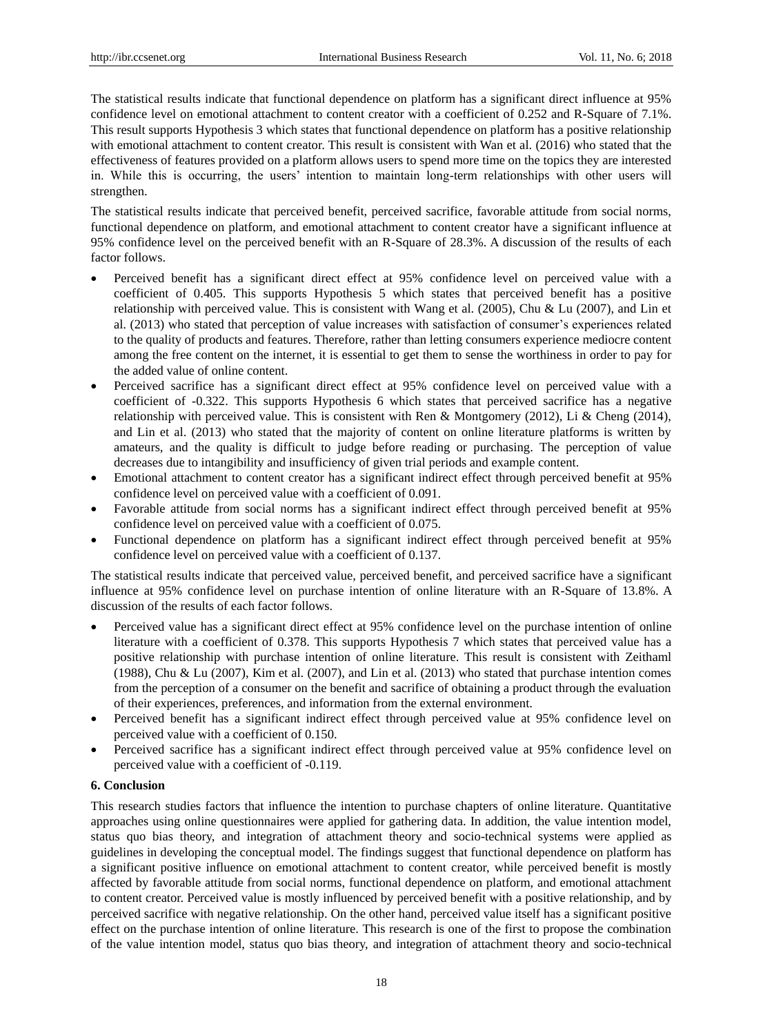The statistical results indicate that functional dependence on platform has a significant direct influence at 95% confidence level on emotional attachment to content creator with a coefficient of 0.252 and R-Square of 7.1%. This result supports Hypothesis 3 which states that functional dependence on platform has a positive relationship with emotional attachment to content creator. This result is consistent with Wan et al. (2016) who stated that the effectiveness of features provided on a platform allows users to spend more time on the topics they are interested in. While this is occurring, the users' intention to maintain long-term relationships with other users will strengthen.

The statistical results indicate that perceived benefit, perceived sacrifice, favorable attitude from social norms, functional dependence on platform, and emotional attachment to content creator have a significant influence at 95% confidence level on the perceived benefit with an R-Square of 28.3%. A discussion of the results of each factor follows.

- Perceived benefit has a significant direct effect at 95% confidence level on perceived value with a coefficient of 0.405. This supports Hypothesis 5 which states that perceived benefit has a positive relationship with perceived value. This is consistent with Wang et al. (2005), Chu & Lu (2007), and Lin et al. (2013) who stated that perception of value increases with satisfaction of consumer's experiences related to the quality of products and features. Therefore, rather than letting consumers experience mediocre content among the free content on the internet, it is essential to get them to sense the worthiness in order to pay for the added value of online content.
- Perceived sacrifice has a significant direct effect at 95% confidence level on perceived value with a coefficient of -0.322. This supports Hypothesis 6 which states that perceived sacrifice has a negative relationship with perceived value. This is consistent with Ren & Montgomery (2012), Li & Cheng (2014), and Lin et al. (2013) who stated that the majority of content on online literature platforms is written by amateurs, and the quality is difficult to judge before reading or purchasing. The perception of value decreases due to intangibility and insufficiency of given trial periods and example content.
- Emotional attachment to content creator has a significant indirect effect through perceived benefit at 95% confidence level on perceived value with a coefficient of 0.091.
- Favorable attitude from social norms has a significant indirect effect through perceived benefit at 95% confidence level on perceived value with a coefficient of 0.075.
- Functional dependence on platform has a significant indirect effect through perceived benefit at 95% confidence level on perceived value with a coefficient of 0.137.

The statistical results indicate that perceived value, perceived benefit, and perceived sacrifice have a significant influence at 95% confidence level on purchase intention of online literature with an R-Square of 13.8%. A discussion of the results of each factor follows.

- Perceived value has a significant direct effect at 95% confidence level on the purchase intention of online literature with a coefficient of 0.378. This supports Hypothesis 7 which states that perceived value has a positive relationship with purchase intention of online literature. This result is consistent with Zeithaml (1988), Chu & Lu (2007), Kim et al. (2007), and Lin et al. (2013) who stated that purchase intention comes from the perception of a consumer on the benefit and sacrifice of obtaining a product through the evaluation of their experiences, preferences, and information from the external environment.
- Perceived benefit has a significant indirect effect through perceived value at 95% confidence level on perceived value with a coefficient of 0.150.
- Perceived sacrifice has a significant indirect effect through perceived value at 95% confidence level on perceived value with a coefficient of -0.119.

# **6. Conclusion**

This research studies factors that influence the intention to purchase chapters of online literature. Quantitative approaches using online questionnaires were applied for gathering data. In addition, the value intention model, status quo bias theory, and integration of attachment theory and socio-technical systems were applied as guidelines in developing the conceptual model. The findings suggest that functional dependence on platform has a significant positive influence on emotional attachment to content creator, while perceived benefit is mostly affected by favorable attitude from social norms, functional dependence on platform, and emotional attachment to content creator. Perceived value is mostly influenced by perceived benefit with a positive relationship, and by perceived sacrifice with negative relationship. On the other hand, perceived value itself has a significant positive effect on the purchase intention of online literature. This research is one of the first to propose the combination of the value intention model, status quo bias theory, and integration of attachment theory and socio-technical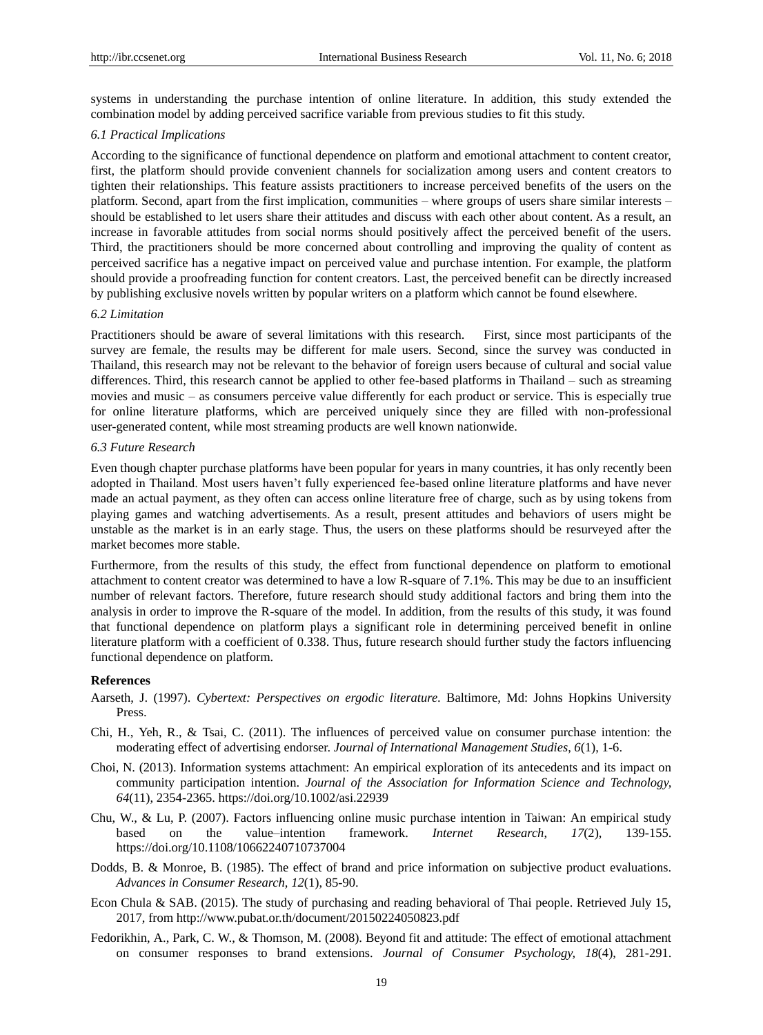systems in understanding the purchase intention of online literature. In addition, this study extended the combination model by adding perceived sacrifice variable from previous studies to fit this study.

# *6.1 Practical Implications*

According to the significance of functional dependence on platform and emotional attachment to content creator, first, the platform should provide convenient channels for socialization among users and content creators to tighten their relationships. This feature assists practitioners to increase perceived benefits of the users on the platform. Second, apart from the first implication, communities – where groups of users share similar interests – should be established to let users share their attitudes and discuss with each other about content. As a result, an increase in favorable attitudes from social norms should positively affect the perceived benefit of the users. Third, the practitioners should be more concerned about controlling and improving the quality of content as perceived sacrifice has a negative impact on perceived value and purchase intention. For example, the platform should provide a proofreading function for content creators. Last, the perceived benefit can be directly increased by publishing exclusive novels written by popular writers on a platform which cannot be found elsewhere.

# *6.2 Limitation*

Practitioners should be aware of several limitations with this research. First, since most participants of the survey are female, the results may be different for male users. Second, since the survey was conducted in Thailand, this research may not be relevant to the behavior of foreign users because of cultural and social value differences. Third, this research cannot be applied to other fee-based platforms in Thailand – such as streaming movies and music – as consumers perceive value differently for each product or service. This is especially true for online literature platforms, which are perceived uniquely since they are filled with non-professional user-generated content, while most streaming products are well known nationwide.

# *6.3 Future Research*

Even though chapter purchase platforms have been popular for years in many countries, it has only recently been adopted in Thailand. Most users haven't fully experienced fee-based online literature platforms and have never made an actual payment, as they often can access online literature free of charge, such as by using tokens from playing games and watching advertisements. As a result, present attitudes and behaviors of users might be unstable as the market is in an early stage. Thus, the users on these platforms should be resurveyed after the market becomes more stable.

Furthermore, from the results of this study, the effect from functional dependence on platform to emotional attachment to content creator was determined to have a low R-square of 7.1%. This may be due to an insufficient number of relevant factors. Therefore, future research should study additional factors and bring them into the analysis in order to improve the R-square of the model. In addition, from the results of this study, it was found that functional dependence on platform plays a significant role in determining perceived benefit in online literature platform with a coefficient of 0.338. Thus, future research should further study the factors influencing functional dependence on platform.

#### **References**

- Aarseth, J. (1997). *Cybertext: Perspectives on ergodic literature*. Baltimore, Md: Johns Hopkins University Press.
- Chi, H., Yeh, R., & Tsai, C. (2011). The influences of perceived value on consumer purchase intention: the moderating effect of advertising endorser. *Journal of International Management Studies*, *6*(1), 1-6.
- Choi, N. (2013). Information systems attachment: An empirical exploration of its antecedents and its impact on community participation intention. *Journal of the Association for Information Science and Technology, 64*(11), 2354-2365. https://doi.org/10.1002/asi.22939
- Chu, W., & Lu, P. (2007). Factors influencing online music purchase intention in Taiwan: An empirical study based on the value–intention framework. *Internet Research*, *17*(2), 139-155. https://doi.org/10.1108/10662240710737004
- Dodds, B. & Monroe, B. (1985). The effect of brand and price information on subjective product evaluations. *Advances in Consumer Research, 12*(1), 85-90.
- Econ Chula & SAB. (2015). The study of purchasing and reading behavioral of Thai people. Retrieved July 15, 2017, from http://www.pubat.or.th/document/20150224050823.pdf
- Fedorikhin, A., Park, C. W., & Thomson, M. (2008). Beyond fit and attitude: The effect of emotional attachment on consumer responses to brand extensions. *Journal of Consumer Psychology, 18*(4), 281-291.